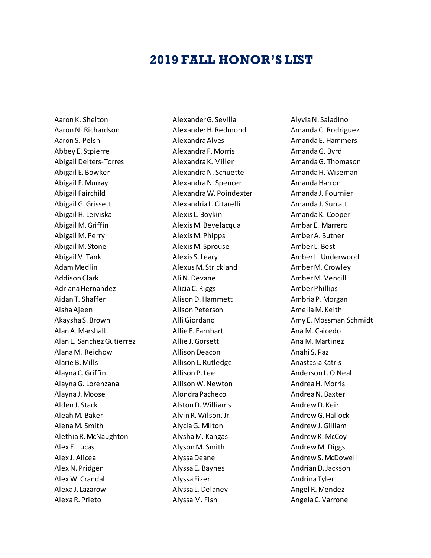## **2019 FALL HONOR'S LIST**

Aaron K. Shelton Aaron N. Richardson Aaron S. Pelsh Abbey E. Stpierre Abigail Deiters-Torres Abigail E. Bowker Abigail F. Murray Abigail Fairchild Abigail G. Grissett Abigail H. Leiviska Abigail M. Griffin Abigail M. Perry Abigail M. Stone Abigail V. Tank Adam Medlin Addison Clark Adriana Hernandez Aidan T. Shaffer Aisha Ajeen Akaysha S. Brown Alan A. Marshall Alan E. Sanchez Gutierrez Alana M. Reichow Alarie B. Mills Alayna C. Griffin Alayna G. Lorenzana Alayna J. Moose Alden J. Stack Aleah M. Baker Alena M. Smith Alethia R. McNaughton Alex E. Lucas Alex J. Alicea Alex N. Pridgen Alex W. Crandall Alexa J. Lazarow Alexa R. Prieto

Alexander G. Sevilla Alexander H. Redmond Alexandra Alves Alexandra F. Morris Alexandra K. Miller Alexandra N. Schuette Alexandra N. Spencer Alexandra W. Poindexter Alexandria L. Citarelli Alexis L. Boykin Alexis M. Bevelacqua Alexis M. Phipps Alexis M. Sprouse Alexis S. Leary Alexus M. Strickland Ali N. Devane Alicia C. Riggs Alison D. Hammett Alison Peterson Alli Giordano Allie E. Earnhart Allie J. Gorsett Allison Deacon Allison L. Rutledge Allison P. Lee Allison W. Newton Alondra Pacheco Alston D. Williams Alvin R. Wilson, Jr. Alycia G. Milton Alysha M. Kangas Alyson M. Smith Alyssa Deane Alyssa E. Baynes Alyssa Fizer Alyssa L. Delaney Alyssa M. Fish

Alyvia N. Saladino Amanda C. Rodriguez Amanda E. Hammers Amanda G. Byrd Amanda G. Thomason Amanda H. Wiseman Amanda Harron Amanda J. Fournier Amanda J. Surratt Amanda K. Cooper Ambar E. Marrero Amber A. Butner Amber L. Best Amber L. Underwood Amber M. Crowley Amber M. Vencill Amber Phillips Ambria P. Morgan Amelia M. Keith Amy E. Mossman Schmidt Ana M. Caicedo Ana M. Martinez Anahi S. Paz Anastasia Katris Anderson L. O'Neal Andrea H. Morris Andrea N. Baxter Andrew D. Keir Andrew G. Hallock Andrew J. Gilliam Andrew K. McCoy Andrew M. Diggs Andrew S. McDowell Andrian D. Jackson Andrina Tyler Angel R. Mendez Angela C. Varrone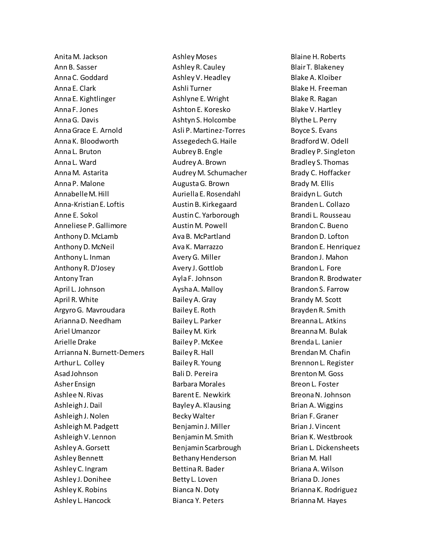Anita M. Jackson Ann B. Sasser Anna C. Goddard Anna E. Clark Anna E. Kightlinger Anna F. Jones Anna G. Davis Anna Grace E. Arnold Anna K. Bloodworth Anna L. Bruton Anna L. Ward Anna M. Astarita Anna P. Malone Annabelle M. Hill Anna-Kristian E. Loftis Anne E. Sokol Anneliese P. Gallimore Anthony D. McLamb Anthony D. McNeil Anthony L. Inman Anthony R. D'Josey Antony Tran April L. Johnson April R. White Argyro G. Mavroudara Arianna D. Needham Ariel Umanzor Arielle Drake Arrianna N. Burnett-Demers Arthur L. Colley Asad Johnson Asher Ensign Ashlee N. Rivas Ashleigh J. Dail Ashleigh J. Nolen Ashleigh M. Padgett Ashleigh V. Lennon Ashley A. Gorsett Ashley Bennett Ashley C. Ingram Ashley J. Donihee Ashley K. Robins Ashley L. Hancock

Ashley Moses Ashley R. Cauley Ashley V. Headley Ashli Turner Ashlyne E. Wright Ashton E. Koresko Ashtyn S. Holcombe Asli P. Martinez-Torres Assegedech G. Haile Aubrey B. Engle Audrey A. Brown Audrey M. Schumacher Augusta G. Brown Auriella E. Rosendahl Austin B. Kirkegaard Austin C. Yarborough Austin M. Powell Ava B. McPartland Ava K. Marrazzo Avery G. Miller Avery J. Gottlob Ayla F. Johnson Aysha A. Malloy Bailey A. Gray Bailey E. Roth Bailey L. Parker Bailey M. Kirk Bailey P. McKee Bailey R. Hall Bailey R. Young Bali D. Pereira Barbara Morales Barent E. Newkirk Bayley A. Klausing Becky Walter Benjamin J. Miller Benjamin M. Smith Benjamin Scarbrough Bethany Henderson Bettina R. Bader Betty L. Loven Bianca N. Doty Bianca Y. Peters

Blaine H. Roberts Blair T. Blakeney Blake A. Kloiber Blake H. Freeman Blake R. Ragan Blake V. Hartley Blythe L. Perry Boyce S. Evans Bradford W. Odell Bradley P. Singleton Bradley S. Thomas Brady C. Hoffacker Brady M. Ellis Braidyn L. Gutch Branden L. Collazo Brandi L. Rousseau Brandon C. Bueno Brandon D. Lofton Brandon E. Henriquez Brandon J. Mahon Brandon L. Fore Brandon R. Brodwater Brandon S. Farrow Brandy M. Scott Brayden R. Smith Breanna L. Atkins Breanna M. Bulak Brenda L. Lanier Brendan M. Chafin Brennon L. Register Brenton M. Goss Breon L. Foster Breona N. Johnson Brian A. Wiggins Brian F. Graner Brian J. Vincent Brian K. Westbrook Brian L. Dickensheets Brian M. Hall Briana A. Wilson Briana D. Jones Brianna K. Rodriguez Brianna M. Hayes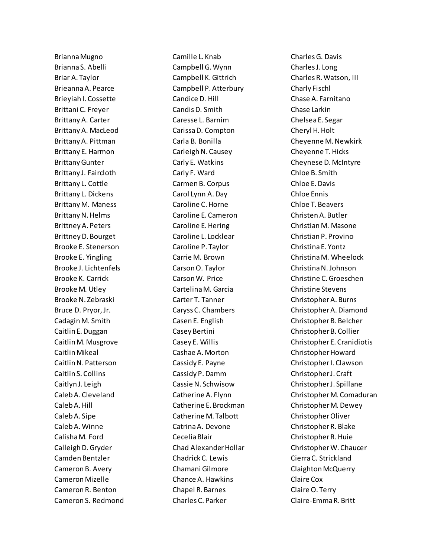Brianna Mugno Brianna S. Abelli Briar A. Taylor Brieanna A. Pearce Brieyiah I. Cossette Brittani C. Freyer Brittany A. Carter Brittany A. MacLeod Brittany A. Pittman Brittany E. Harmon Brittany Gunter Brittany J. Faircloth Brittany L. Cottle Brittany L. Dickens Brittany M. Maness Brittany N. Helms Brittney A. Peters Brittney D. Bourget Brooke E. Stenerson Brooke E. Yingling Brooke J. Lichtenfels Brooke K. Carrick Brooke M. Utley Brooke N. Zebraski Bruce D. Pryor, Jr. Cadagin M. Smith Caitlin E. Duggan Caitlin M. Musgrove Caitlin Mikeal Caitlin N. Patterson Caitlin S. Collins Caitlyn J. Leigh Caleb A. Cleveland Caleb A. Hill Caleb A. Sipe Caleb A. Winne Calisha M. Ford Calleigh D. Gryder Camden Bentzler Cameron B. Avery Cameron Mizelle Cameron R. Benton Cameron S. Redmond Camille L. Knab Campbell G. Wynn Campbell K. Gittrich Campbell P. Atterbury Candice D. Hill Candis D. Smith Caresse L. Barnim Carissa D. Compton Carla B. Bonilla Carleigh N. Causey Carly E. Watkins Carly F. Ward Carmen B. Corpus Carol Lynn A. Day Caroline C. Horne Caroline E. Cameron Caroline E. Hering Caroline L. Locklear Caroline P. Taylor Carrie M. Brown Carson O. Taylor Carson W. Price Cartelina M. Garcia Carter T. Tanner Caryss C. Chambers Casen E. English Casey Bertini Casey E. Willis Cashae A. Morton Cassidy E. Payne Cassidy P. Damm Cassie N. Schwisow Catherine A. Flynn Catherine E. Brockman Catherine M. Talbott Catrina A. Devone Cecelia Blair Chad Alexander Hollar Chadrick C. Lewis Chamani Gilmore Chance A. Hawkins Chapel R. Barnes Charles C. Parker

Charles G. Davis Charles J. Long Charles R. Watson, III Charly Fischl Chase A. Farnitano Chase Larkin Chelsea E. Segar Cheryl H. Holt Cheyenne M. Newkirk Cheyenne T. Hicks Cheynese D. McIntyre Chloe B. Smith Chloe E. Davis Chloe Ennis Chloe T. Beavers Christen A. Butler Christian M. Masone Christian P. Provino Christina E. Yontz Christina M. Wheelock Christina N. Johnson Christine C. Groeschen Christine Stevens Christopher A. Burns Christopher A. Diamond Christopher B. Belcher Christopher B. Collier Christopher E. Cranidiotis Christopher Howard Christopher I. Clawson Christopher J. Craft Christopher J. Spillane Christopher M. Comaduran Christopher M. Dewey Christopher Oliver Christopher R. Blake Christopher R. Huie Christopher W. Chaucer Cierra C. Strickland Claighton McQuerry Claire Cox Claire O. Terry Claire-Emma R. Britt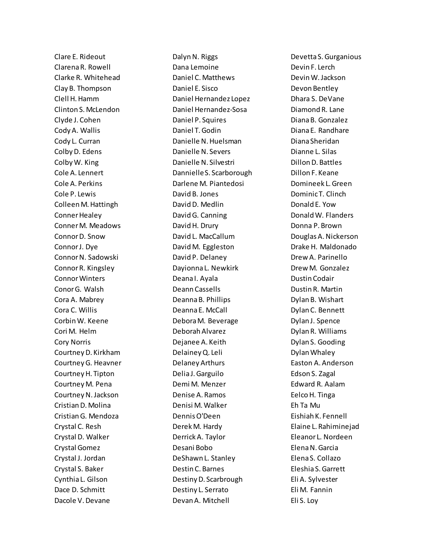Clare E. Rideout Clarena R. Rowell Clarke R. Whitehead Clay B. Thompson Clell H. Hamm Clinton S. McLendon Clyde J. Cohen Cody A. Wallis Cody L. Curran Colby D. Edens Colby W. King Cole A. Lennert Cole A. Perkins Cole P. Lewis Colleen M. Hattingh Conner Healey Conner M. Meadows Connor D. Snow Connor J. Dye Connor N. Sadowski Connor R. Kingsley Connor Winters ConorG. Walsh Cora A. Mabrey Cora C. Willis Corbin W. Keene Cori M. Helm Cory Norris Courtney D. Kirkham Courtney G. Heavner Courtney H. Tipton Courtney M. Pena Courtney N. Jackson Cristian D. Molina Cristian G. Mendoza Crystal C. Resh Crystal D. Walker Crystal Gomez Crystal J. Jordan Crystal S. Baker Cynthia L. Gilson Dace D. Schmitt Dacole V. Devane

Dalyn N. Riggs Dana Lemoine Daniel C. Matthews Daniel E. Sisco Daniel Hernandez Lopez Daniel Hernandez-Sosa Daniel P. Squires Daniel T. Godin Danielle N. Huelsman Danielle N. Severs Danielle N. Silvestri Dannielle S. Scarborough Darlene M. Piantedosi David B. Jones David D. Medlin David G. Canning David H. Drury David L. MacCallum David M. Eggleston David P. Delaney Dayionna L. Newkirk Deana I. Ayala Deann Cassells Deanna B. Phillips Deanna E. McCall Debora M. Beverage Deborah Alvarez Dejanee A. Keith Delainey Q. Leli Delaney Arthurs Delia J. Garguilo Demi M. Menzer Denise A. Ramos Denisi M. Walker Dennis O'Deen Derek M. Hardy Derrick A. Taylor Desani Bobo DeShawn L. Stanley Destin C. Barnes Destiny D. Scarbrough Destiny L. Serrato Devan A. Mitchell

Devetta S. Gurganious Devin F. Lerch Devin W. Jackson Devon Bentley Dhara S. DeVane Diamond R. Lane Diana B. Gonzalez Diana E. Randhare Diana Sheridan Dianne L. Silas Dillon D. Battles Dillon F. Keane Domineek L. Green Dominic T. Clinch Donald E. Yow Donald W. Flanders Donna P. Brown Douglas A. Nickerson Drake H. Maldonado Drew A. Parinello Drew M. Gonzalez Dustin Codair Dustin R. Martin Dylan B. Wishart Dylan C. Bennett Dylan J. Spence Dylan R. Williams Dylan S. Gooding Dylan Whaley Easton A. Anderson Edson S. Zagal Edward R. Aalam Eelco H. Tinga Eh Ta Mu Eishiah K. Fennell Elaine L. Rahiminejad Eleanor L. Nordeen Elena N. Garcia Elena S. Collazo Eleshia S. Garrett Eli A. Sylvester Eli M. Fannin Eli S. Loy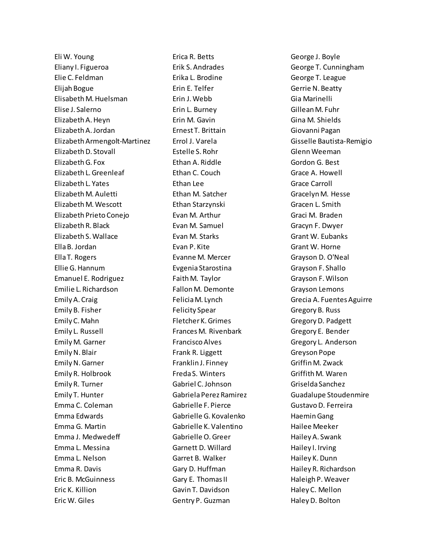Eli W. Young Eliany I. Figueroa Elie C. Feldman Elijah Bogue Elisabeth M. Huelsman Elise J. Salerno Elizabeth A. Heyn Elizabeth A. Jordan Elizabeth Armengolt-Martinez Elizabeth D. Stovall Elizabeth G. Fox Elizabeth L. Greenleaf Elizabeth L. Yates Elizabeth M. Auletti Elizabeth M. Wescott Elizabeth Prieto Conejo Elizabeth R. Black Elizabeth S. Wallace Ella B. Jordan Ella T. Rogers Ellie G. Hannum Emanuel E. Rodriguez Emilie L. Richardson Emily A. Craig Emily B. Fisher Emily C. Mahn Emily L. Russell Emily M. Garner Emily N. Blair Emily N. Garner Emily R. Holbrook Emily R. Turner Emily T. Hunter Emma C. Coleman Emma Edwards Emma G. Martin Emma J. Medwedeff Emma L. Messina Emma L. Nelson Emma R. Davis Eric B. McGuinness Eric K. Killion Eric W. Giles

Erica R. Betts Erik S. Andrades Erika L. Brodine Erin E. Telfer Erin J. Webb Erin L. Burney Erin M. Gavin Ernest T. Brittain Errol J. Varela Estelle S. Rohr Ethan A. Riddle Ethan C. Couch Ethan Lee Ethan M. Satcher Ethan Starzynski Evan M. Arthur Evan M. Samuel Evan M. Starks Evan P. Kite Evanne M. Mercer Evgenia Starostina Faith M. Taylor Fallon M. Demonte Felicia M. Lynch Felicity Spear Fletcher K. Grimes Frances M. Rivenbark Francisco Alves Frank R. Liggett Franklin J. Finney Freda S. Winters Gabriel C. Johnson Gabriela Perez Ramirez Gabrielle F. Pierce Gabrielle G. Kovalenko Gabrielle K. Valentino Gabrielle O. Greer Garnett D. Willard Garret B. Walker Gary D. Huffman Gary E. Thomas II Gavin T. Davidson Gentry P. Guzman

George J. Boyle George T. Cunningham George T. League Gerrie N. Beatty Gia Marinelli Gillean M. Fuhr Gina M. Shields Giovanni Pagan Gisselle Bautista-Remigio Glenn Weeman Gordon G. Best Grace A. Howell Grace Carroll Gracelyn M. Hesse Gracen L. Smith Graci M. Braden Gracyn F. Dwyer Grant W. Eubanks Grant W. Horne Grayson D. O'Neal Grayson F. Shallo Grayson F. Wilson Grayson Lemons Grecia A. Fuentes Aguirre Gregory B. Russ Gregory D. Padgett Gregory E. Bender Gregory L. Anderson Greyson Pope Griffin M. Zwack Griffith M. Waren Griselda Sanchez Guadalupe Stoudenmire Gustavo D. Ferreira Haemin Gang Hailee Meeker Hailey A. Swank Hailey I. Irving Hailey K. Dunn Hailey R. Richardson Haleigh P. Weaver Haley C. Mellon Haley D. Bolton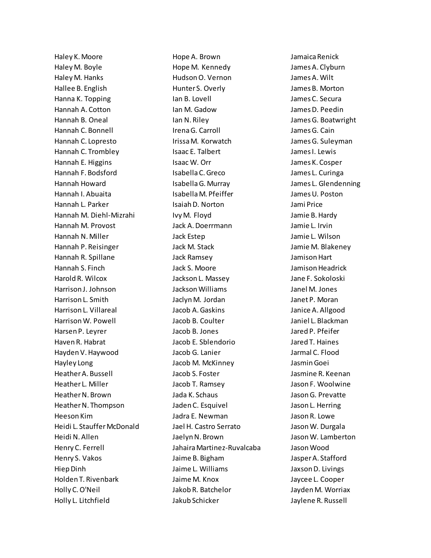Haley K. Moore Haley M. Boyle Haley M. Hanks Hallee B. English Hanna K. Topping Hannah A. Cotton Hannah B. Oneal Hannah C. Bonnell Hannah C. Lopresto Hannah C. Trombley Hannah E. Higgins Hannah F. Bodsford Hannah Howard Hannah I. Abuaita Hannah L. Parker Hannah M. Diehl-Mizrahi Hannah M. Provost Hannah N. Miller Hannah P. Reisinger Hannah R. Spillane Hannah S. Finch Harold R. Wilcox Harrison J. Johnson Harrison L. Smith Harrison L. Villareal Harrison W. Powell Harsen P. Leyrer Haven R. Habrat Hayden V. Haywood Hayley Long Heather A. Bussell Heather L. Miller Heather N. Brown Heather N. Thompson Heeson Kim Heidi L. Stauffer McDonald Heidi N. Allen Henry C. Ferrell Henry S. Vakos Hiep Dinh Holden T. Rivenbark Holly C. O'Neil Holly L. Litchfield

Hope A. Brown Hope M. Kennedy Hudson O. Vernon Hunter S. Overly Ian B. Lovell Ian M. Gadow Ian N. Riley Irena G. Carroll Irissa M. Korwatch Isaac E. Talbert Isaac W. Orr Isabella C. Greco Isabella G. Murray Isabella M. Pfeiffer Isaiah D. Norton Ivy M. Floyd Jack A. Doerrmann Jack Estep Jack M. Stack Jack Ramsey Jack S. Moore Jackson L. Massey Jackson Williams Jaclyn M. Jordan Jacob A. Gaskins Jacob B. Coulter Jacob B. Jones Jacob E. Sblendorio Jacob G. Lanier Jacob M. McKinney Jacob S. Foster Jacob T. Ramsey Jada K. Schaus Jaden C. Esquivel Jadra E. Newman Jael H. Castro Serrato Jaelyn N. Brown Jahaira Martinez-Ruvalcaba Jaime B. Bigham Jaime L. Williams Jaime M. Knox Jakob R. Batchelor Jakub Schicker

Jamaica Renick James A. Clyburn James A. Wilt James B. Morton James C. Secura James D. Peedin James G. Boatwright James G. Cain James G. Suleyman James I. Lewis James K. Cosper James L. Curinga James L. Glendenning James U. Poston Jami Price Jamie B. Hardy Jamie L. Irvin Jamie L. Wilson Jamie M. Blakeney Jamison Hart Jamison Headrick Jane F. Sokoloski Janel M. Jones Janet P. Moran Janice A. Allgood Janiel L. Blackman Jared P. Pfeifer Jared T. Haines Jarmal C. Flood Jasmin Goei Jasmine R. Keenan Jason F. Woolwine Jason G. Prevatte Jason L. Herring Jason R. Lowe Jason W. Durgala Jason W. Lamberton Jason Wood Jasper A. Stafford Jaxson D. Livings Jaycee L. Cooper Jayden M. Worriax Jaylene R. Russell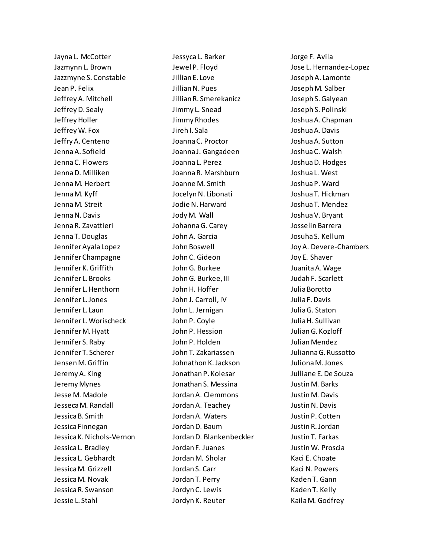Jayna L. McCotter Jazmynn L. Brown Jazzmyne S. Constable Jean P. Felix Jeffrey A. Mitchell Jeffrey D. Sealy Jeffrey Holler Jeffrey W. Fox Jeffry A. Centeno Jenna A. Sofield Jenna C. Flowers Jenna D. Milliken Jenna M. Herbert Jenna M. Kyff Jenna M. Streit JennaN. Davis Jenna R. Zavattieri Jenna T. Douglas Jennifer Ayala Lopez Jennifer Champagne Jennifer K. Griffith Jennifer L. Brooks Jennifer L. Henthorn Jennifer L. Jones Jennifer L. Laun Jennifer L. Worischeck Jennifer M. Hyatt Jennifer S. Raby Jennifer T. Scherer Jensen M. Griffin Jeremy A. King Jeremy Mynes Jesse M. Madole Jesseca M. Randall Jessica B. Smith Jessica Finnegan Jessica K. Nichols-Vernon Jessica L. Bradley Jessica L. Gebhardt Jessica M. Grizzell Jessica M. Novak Jessica R. Swanson Jessie L. Stahl

Jessyca L. Barker Jewel P. Floyd Jillian E. Love Jillian N. Pues Jillian R. Smerekanicz Jimmy L. Snead Jimmy Rhodes Jireh I. Sala Joanna C. Proctor Joanna J. Gangadeen Joanna L. Perez Joanna R. Marshburn Joanne M. Smith Jocelyn N. Libonati Jodie N. Harward Jody M. Wall Johanna G. Carey John A. Garcia John Boswell John C. Gideon John G. Burkee John G. Burkee, III John H. Hoffer John J. Carroll, IV John L. Jernigan John P. Coyle John P. Hession John P. Holden John T. Zakariassen Johnathon K. Jackson Jonathan P. Kolesar Jonathan S. Messina Jordan A. Clemmons Jordan A. Teachey Jordan A. Waters Jordan D. Baum Jordan D. Blankenbeckler Jordan F. Juanes Jordan M. Sholar Jordan S. Carr Jordan T. Perry Jordyn C. Lewis Jordyn K. Reuter

Jorge F. Avila Jose L. Hernandez-Lopez Joseph A. Lamonte Joseph M. Salber Joseph S. Galyean Joseph S. Polinski Joshua A. Chapman Joshua A. Davis Joshua A. Sutton Joshua C. Walsh Joshua D. Hodges Joshua L. West Joshua P. Ward Joshua T. Hickman Joshua T. Mendez Joshua V. Bryant Josselin Barrera Josuha S. Kellum Joy A. Devere-Chambers Joy E. Shaver Juanita A. Wage Judah F. Scarlett Julia Borotto Julia F. Davis Julia G. Staton Julia H. Sullivan Julian G. Kozloff Julian Mendez Julianna G. Russotto Juliona M. Jones Julliane E. De Souza Justin M. Barks Justin M. Davis Justin N. Davis Justin P. Cotten Justin R. Jordan Justin T. Farkas Justin W. Proscia Kaci E. Choate Kaci N. Powers Kaden T. Gann Kaden T. Kelly Kaila M. Godfrey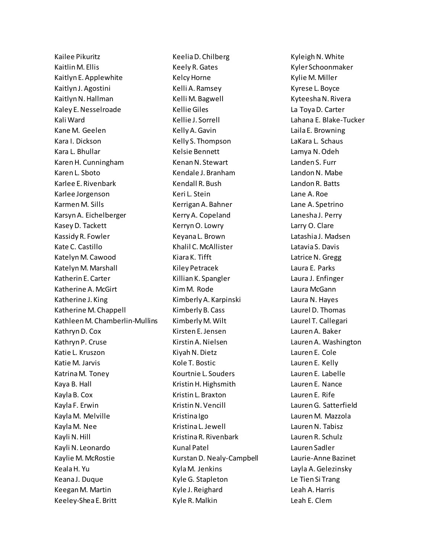Kailee Pikuritz Kaitlin M. Ellis Kaitlyn E. Applewhite Kaitlyn J. Agostini Kaitlyn N. Hallman Kaley E. Nesselroade Kali Ward Kane M. Geelen Kara I. Dickson Kara L. Bhullar Karen H. Cunningham Karen L. Sboto Karlee E. Rivenbark Karlee Jorgenson Karmen M. Sills Karsyn A. Eichelberger Kasey D. Tackett Kassidy R. Fowler Kate C. Castillo Katelyn M. Cawood Katelyn M. Marshall Katherin E. Carter Katherine A. McGirt Katherine J. King Katherine M. Chappell Kathleen M. Chamberlin-Mullins Kathryn D. Cox Kathryn P. Cruse Katie L. Kruszon Katie M. Jarvis Katrina M. Toney Kaya B. Hall Kayla B. Cox Kayla F. Erwin Kayla M. Melville Kayla M. Nee Kayli N. Hill Kayli N. Leonardo Kaylie M. McRostie Keala H. Yu Keana J. Duque Keegan M. Martin Keeley-Shea E. Britt

Keelia D. Chilberg Keely R. Gates Kelcy Horne Kelli A. Ramsey Kelli M. Bagwell Kellie Giles Kellie J. Sorrell Kelly A. Gavin Kelly S. Thompson Kelsie Bennett Kenan N. Stewart Kendale J. Branham Kendall R. Bush Keri L. Stein Kerrigan A. Bahner Kerry A. Copeland Kerryn O. Lowry Keyana L. Brown Khalil C. McAllister Kiara K. Tifft Kiley Petracek Killian K. Spangler Kim M. Rode Kimberly A. Karpinski Kimberly B. Cass Kimberly M. Wilt Kirsten E. Jensen Kirstin A. Nielsen Kiyah N. Dietz Kole T. Bostic Kourtnie L. Souders Kristin H. Highsmith Kristin L. Braxton Kristin N. Vencill Kristina Igo Kristina L. Jewell Kristina R. Rivenbark Kunal Patel Kurstan D. Nealy-Campbell Kyla M. Jenkins Kyle G. Stapleton Kyle J. Reighard Kyle R. Malkin

Kyleigh N. White Kyler Schoonmaker Kylie M. Miller Kyrese L. Boyce Kyteesha N. Rivera La Toya D. Carter Lahana E. Blake-Tucker Laila E. Browning LaKara L. Schaus Lamya N. Odeh Landen S. Furr Landon N. Mabe Landon R. Batts Lane A. Roe Lane A. Spetrino Lanesha J. Perry Larry O. Clare Latashia J. Madsen Latavia S. Davis Latrice N. Gregg Laura E. Parks Laura J. Enfinger Laura McGann Laura N. Hayes Laurel D. Thomas Laurel T. Callegari Lauren A. Baker Lauren A. Washington Lauren E. Cole Lauren E. Kelly Lauren E. Labelle Lauren E. Nance Lauren E. Rife Lauren G. Satterfield Lauren M. Mazzola Lauren N. Tabisz Lauren R. Schulz Lauren Sadler Laurie-Anne Bazinet Layla A. Gelezinsky Le Tien Si Trang Leah A. Harris Leah E. Clem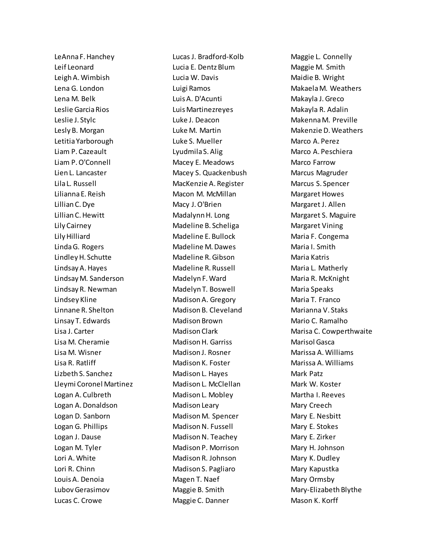LeAnna F. Hanchey Leif Leonard Leigh A. Wimbish Lena G. London Lena M. Belk Leslie Garcia Rios Leslie J. Stylc Lesly B. Morgan Letitia Yarborough Liam P. Cazeault Liam P. O'Connell Lien L. Lancaster Lila L. Russell Lilianna E. Reish Lillian C. Dye Lillian C. Hewitt Lily Cairney Lily Hilliard Linda G. Rogers Lindley H. Schutte Lindsay A. Hayes Lindsay M. Sanderson Lindsay R. Newman Lindsey Kline Linnane R. Shelton Linsay T. Edwards Lisa J. Carter Lisa M. Cheramie Lisa M. Wisner Lisa R. Ratliff Lizbeth S. Sanchez Lleymi Coronel Martinez Logan A. Culbreth Logan A. Donaldson Logan D. Sanborn Logan G. Phillips Logan J. Dause Logan M. Tyler Lori A. White Lori R. Chinn Louis A. Denoia Lubov Gerasimov Lucas C. Crowe

Lucas J. Bradford-Kolb Lucia E. Dentz Blum Lucia W. Davis Luigi Ramos Luis A. D'Acunti Luis Martinezreyes Luke J. Deacon Luke M. Martin Luke S. Mueller Lyudmila S. Alig Macey E. Meadows Macey S. Quackenbush MacKenzie A. Register Macon M. McMillan Macy J. O'Brien Madalynn H. Long Madeline B. Scheliga Madeline E. Bullock Madeline M. Dawes Madeline R. Gibson Madeline R. Russell Madelyn F. Ward Madelyn T. Boswell Madison A. Gregory Madison B. Cleveland Madison Brown Madison Clark Madison H. Garriss Madison J. Rosner Madison K. Foster Madison L. Hayes Madison L. McClellan Madison L. Mobley Madison Leary Madison M. Spencer Madison N. Fussell Madison N. Teachey Madison P. Morrison Madison R. Johnson Madison S. Pagliaro Magen T. Naef Maggie B. Smith Maggie C. Danner

Maggie L. Connelly Maggie M. Smith Maidie B. Wright MakaelaM. Weathers Makayla J. Greco Makayla R. Adalin Makenna M. Preville Makenzie D. Weathers Marco A. Perez Marco A. Peschiera Marco Farrow Marcus Magruder Marcus S. Spencer Margaret Howes Margaret J. Allen Margaret S. Maguire Margaret Vining Maria F. Congema Maria I. Smith Maria Katris Maria L. Matherly Maria R. McKnight Maria Speaks Maria T. Franco Marianna V. Staks Mario C. Ramalho Marisa C. Cowperthwaite Marisol Gasca Marissa A. Williams Marissa A. Williams Mark Patz Mark W. Koster Martha I. Reeves Mary Creech Mary E. Nesbitt Mary E. Stokes Mary E. Zirker Mary H. Johnson Mary K. Dudley Mary Kapustka Mary Ormsby Mary-Elizabeth Blythe Mason K. Korff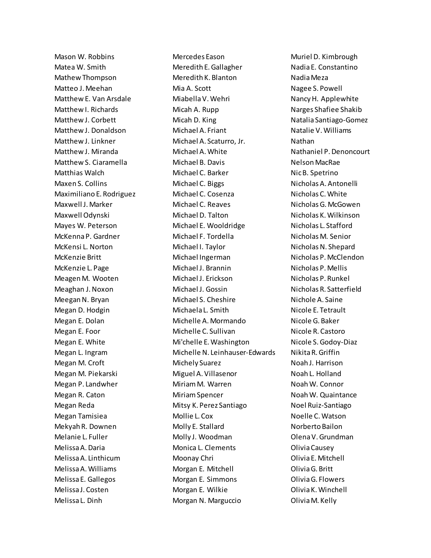Mason W. Robbins Matea W. Smith Mathew Thompson Matteo J. Meehan Matthew E. Van Arsdale Matthew I. Richards Matthew J. Corbett Matthew J. Donaldson Matthew J. Linkner Matthew J. Miranda Matthew S. Ciaramella Matthias Walch Maxen S. Collins Maximiliano E. Rodriguez Maxwell J. Marker Maxwell Odynski Mayes W. Peterson McKenna P. Gardner McKensi L. Norton McKenzie Britt McKenzie L. Page Meagen M. Wooten Meaghan J. Noxon Meegan N. Bryan Megan D. Hodgin Megan E. Dolan Megan E. Foor Megan E. White Megan L. Ingram Megan M. Croft Megan M. Piekarski Megan P. Landwher Megan R. Caton Megan Reda Megan Tamisiea Mekyah R. Downen Melanie L. Fuller Melissa A. Daria Melissa A. Linthicum Melissa A. Williams Melissa E. Gallegos Melissa J. Costen Melissa L. Dinh

Mercedes Eason Meredith E. Gallagher Meredith K. Blanton Mia A. Scott Miabella V. Wehri Micah A. Rupp Micah D. King Michael A. Friant Michael A. Scaturro, Jr. Michael A. White Michael B. Davis Michael C. Barker Michael C. Biggs Michael C. Cosenza Michael C. Reaves Michael D. Talton Michael E. Wooldridge Michael F. Tordella Michael I. Taylor Michael Ingerman Michael J. Brannin Michael J. Erickson Michael J. Gossin Michael S. Cheshire Michaela L. Smith Michelle A. Mormando Michelle C. Sullivan Mi'chelle E. Washington Michelle N. Leinhauser-Edwards Michely Suarez Miguel A. Villasenor Miriam M. Warren Miriam Spencer Mitsy K. Perez Santiago Mollie L. Cox Molly E. Stallard Molly J. Woodman Monica L. Clements Moonay Chri Morgan E. Mitchell Morgan E. Simmons Morgan E. Wilkie Morgan N. Marguccio

Muriel D. Kimbrough Nadia E. Constantino Nadia Meza Nagee S. Powell Nancy H. Applewhite Narges Shafiee Shakib Natalia Santiago-Gomez Natalie V. Williams Nathan Nathaniel P. Denoncourt Nelson MacRae Nic B. Spetrino Nicholas A. Antonelli Nicholas C. White Nicholas G. McGowen Nicholas K. Wilkinson Nicholas L. Stafford Nicholas M. Senior Nicholas N. Shepard Nicholas P. McClendon Nicholas P. Mellis Nicholas P. Runkel Nicholas R. Satterfield Nichole A. Saine Nicole E. Tetrault Nicole G. Baker Nicole R. Castoro Nicole S. Godoy-Diaz Nikita R. Griffin Noah J. Harrison Noah L. Holland Noah W. Connor Noah W. Quaintance Noel Ruiz-Santiago Noelle C. Watson Norberto Bailon OlenaV. Grundman Olivia Causey Olivia E. Mitchell Olivia G. Britt Olivia G. Flowers Olivia K. Winchell Olivia M. Kelly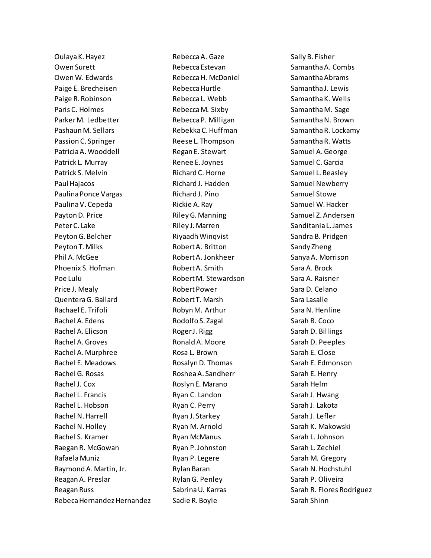Oulaya K. Hayez Owen Surett Owen W. Edwards Paige E. Brecheisen Paige R. Robinson Paris C. Holmes Parker M. Ledbetter PashaunM. Sellars Passion C. Springer Patricia A. Wooddell Patrick L. Murray Patrick S. Melvin Paul Hajacos Paulina Ponce Vargas Paulina V. Cepeda Payton D. Price Peter C. Lake Peyton G. Belcher Peyton T. Milks Phil A. McGee Phoenix S. Hofman Poe Lulu Price J. Mealy Quentera G. Ballard Rachael E. Trifoli Rachel A. Edens Rachel A. Elicson Rachel A. Groves Rachel A. Murphree Rachel E. Meadows Rachel G. Rosas Rachel J. Cox Rachel L. Francis Rachel L. Hobson Rachel N. Harrell Rachel N. Holley Rachel S. Kramer Raegan R. McGowan Rafaela Muniz Raymond A. Martin, Jr. Reagan A. Preslar Reagan Russ Rebeca Hernandez Hernandez Rebecca A. Gaze Rebecca Estevan Rebecca H. McDoniel Rebecca Hurtle Rebecca L. Webb Rebecca M. Sixby Rebecca P. Milligan Rebekka C. Huffman Reese L. Thompson Regan E. Stewart Renee E. Joynes Richard C. Horne Richard J. Hadden Richard J. Pino Rickie A. Ray Riley G. Manning Riley J. Marren Riyaadh Winqvist Robert A. Britton Robert A. Jonkheer Robert A. Smith Robert M. Stewardson Robert Power Robert T. Marsh Robyn M. Arthur Rodolfo S. Zagal Roger J. Rigg Ronald A. Moore Rosa L. Brown Rosalyn D. Thomas Roshea A. Sandherr Roslyn E. Marano Ryan C. Landon Ryan C. Perry Ryan J. Starkey Ryan M. Arnold Ryan McManus Ryan P. Johnston Ryan P. Legere Rylan Baran Rylan G. Penley Sabrina U. Karras Sadie R. Boyle

Sally B. Fisher Samantha A. Combs Samantha Abrams Samantha J. Lewis Samantha K. Wells Samantha M. Sage Samantha N. Brown Samantha R. Lockamy Samantha R. Watts Samuel A. George Samuel C. Garcia Samuel L. Beasley Samuel Newberry Samuel Stowe Samuel W. Hacker Samuel Z. Andersen Sanditania L. James Sandra B. Pridgen Sandy Zheng Sanya A. Morrison Sara A. Brock Sara A. Raisner Sara D. Celano Sara Lasalle Sara N. Henline Sarah B. Coco Sarah D. Billings Sarah D. Peeples Sarah E. Close Sarah E. Edmonson Sarah E. Henry Sarah Helm Sarah J. Hwang Sarah J. Lakota Sarah J. Lefler Sarah K. Makowski Sarah L. Johnson Sarah L. Zechiel Sarah M. Gregory Sarah N. Hochstuhl Sarah P. Oliveira Sarah R. Flores Rodriguez Sarah Shinn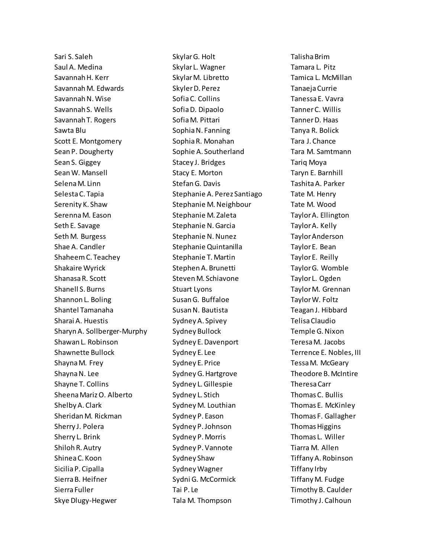Sari S. Saleh Saul A. Medina Savannah H. Kerr Savannah M. Edwards Savannah N. Wise Savannah S. Wells Savannah T. Rogers Sawta Blu Scott E. Montgomery Sean P. Dougherty Sean S. Giggey Sean W. Mansell Selena M. Linn Selesta C. Tapia Serenity K. Shaw Serenna M. Eason Seth E. Savage Seth M. Burgess Shae A. Candler Shaheem C. Teachey Shakaire Wyrick Shanasa R. Scott Shanell S. Burns Shannon L. Boling Shantel Tamanaha Sharai A. Huestis Sharyn A. Sollberger-Murphy Shawan L. Robinson Shawnette Bullock Shayna M. Frey Shayna N. Lee Shayne T. Collins Sheena Mariz O. Alberto Shelby A. Clark Sheridan M. Rickman Sherry J. Polera Sherry L. Brink Shiloh R. Autry Shinea C. Koon Sicilia P. Cipalla Sierra B. Heifner Sierra Fuller Skye Dlugy-Hegwer

Skylar G. Holt Skylar L. Wagner Skylar M. Libretto Skyler D. Perez Sofia C. Collins Sofia D. Dipaolo Sofia M. Pittari Sophia N. Fanning Sophia R. Monahan Sophie A. Southerland Stacey J. Bridges Stacy E. Morton Stefan G. Davis Stephanie A. Perez Santiago Stephanie M. Neighbour Stephanie M. Zaleta Stephanie N. Garcia Stephanie N. Nunez Stephanie Quintanilla Stephanie T. Martin Stephen A. Brunetti Steven M. Schiavone Stuart Lyons Susan G. Buffaloe Susan N. Bautista Sydney A. Spivey Sydney Bullock Sydney E. Davenport Sydney E. Lee Sydney E. Price Sydney G. Hartgrove Sydney L. Gillespie Sydney L. Stich Sydney M. Louthian Sydney P. Eason Sydney P. Johnson Sydney P. Morris Sydney P. Vannote Sydney Shaw Sydney Wagner Sydni G. McCormick Tai P. Le Tala M. Thompson

Talisha Brim Tamara L. Pitz Tamica L. McMillan TanaejaCurrie Tanessa E. Vavra Tanner C. Willis Tanner D. Haas Tanya R. Bolick Tara J. Chance Tara M. Samtmann Tariq Moya Taryn E. Barnhill Tashita A. Parker Tate M. Henry Tate M. Wood Taylor A. Ellington Taylor A. Kelly Taylor Anderson Taylor E. Bean Taylor E. Reilly Taylor G. Womble Taylor L. Ogden Taylor M. Grennan Taylor W. Foltz Teagan J. Hibbard Telisa Claudio Temple G. Nixon Teresa M. Jacobs Terrence E. Nobles, III Tessa M. McGeary Theodore B. McIntire Theresa Carr Thomas C. Bullis Thomas E. McKinley Thomas F. Gallagher Thomas Higgins Thomas L. Willer Tiarra M. Allen Tiffany A. Robinson Tiffany Irby Tiffany M. Fudge Timothy B. Caulder Timothy J. Calhoun